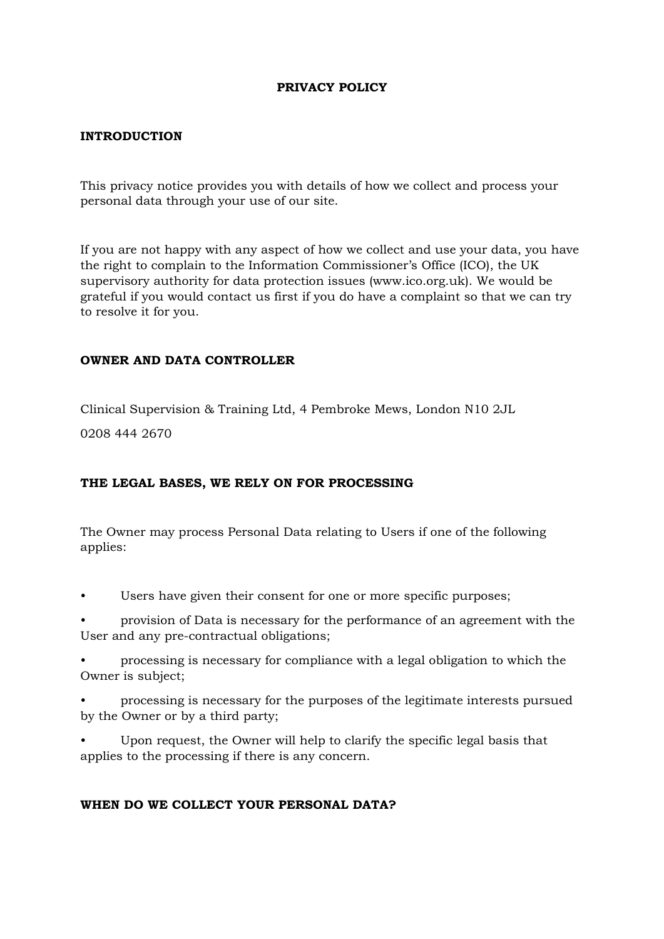### **PRIVACY POLICY**

#### **INTRODUCTION**

This privacy notice provides you with details of how we collect and process your personal data through your use of our site.

If you are not happy with any aspect of how we collect and use your data, you have the right to complain to the Information Commissioner's Office (ICO), the UK supervisory authority for data protection issues (www.ico.org.uk). We would be grateful if you would contact us first if you do have a complaint so that we can try to resolve it for you.

#### **OWNER AND DATA CONTROLLER**

Clinical Supervision & Training Ltd, 4 Pembroke Mews, London N10 2JL

0208 444 2670

### **THE LEGAL BASES, WE RELY ON FOR PROCESSING**

The Owner may process Personal Data relating to Users if one of the following applies:

- Users have given their consent for one or more specific purposes;
- provision of Data is necessary for the performance of an agreement with the User and any pre-contractual obligations;
- processing is necessary for compliance with a legal obligation to which the Owner is subject;
- processing is necessary for the purposes of the legitimate interests pursued by the Owner or by a third party;
- Upon request, the Owner will help to clarify the specific legal basis that applies to the processing if there is any concern.

### **WHEN DO WE COLLECT YOUR PERSONAL DATA?**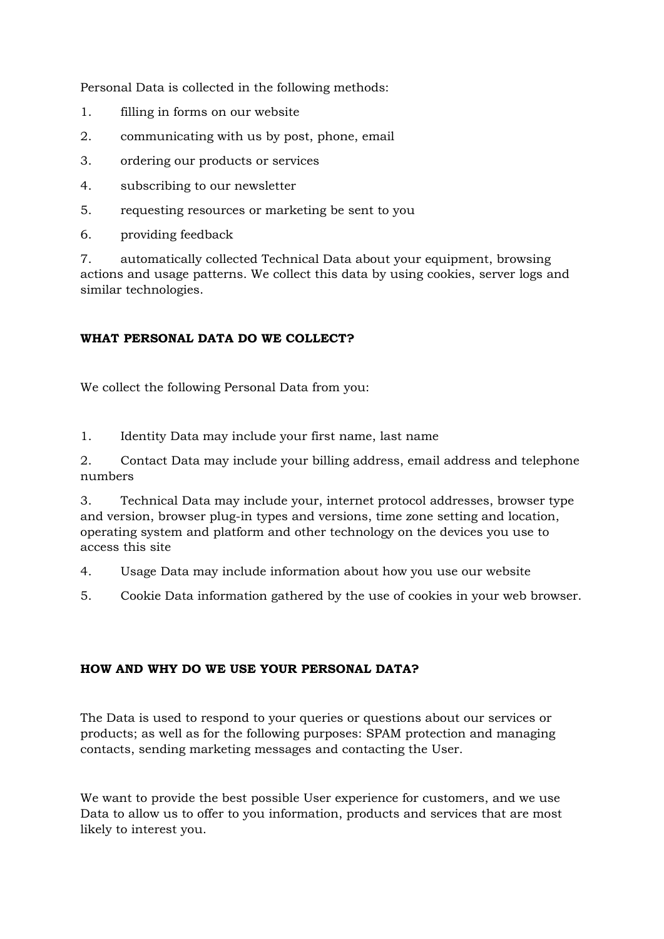Personal Data is collected in the following methods:

- 1. filling in forms on our website
- 2. communicating with us by post, phone, email
- 3. ordering our products or services
- 4. subscribing to our newsletter
- 5. requesting resources or marketing be sent to you
- 6. providing feedback

7. automatically collected Technical Data about your equipment, browsing actions and usage patterns. We collect this data by using cookies, server logs and similar technologies.

# **WHAT PERSONAL DATA DO WE COLLECT?**

We collect the following Personal Data from you:

1. Identity Data may include your first name, last name

2. Contact Data may include your billing address, email address and telephone numbers

3. Technical Data may include your, internet protocol addresses, browser type and version, browser plug-in types and versions, time zone setting and location, operating system and platform and other technology on the devices you use to access this site

4. Usage Data may include information about how you use our website

5. Cookie Data information gathered by the use of cookies in your web browser.

# **HOW AND WHY DO WE USE YOUR PERSONAL DATA?**

The Data is used to respond to your queries or questions about our services or products; as well as for the following purposes: SPAM protection and managing contacts, sending marketing messages and contacting the User.

We want to provide the best possible User experience for customers, and we use Data to allow us to offer to you information, products and services that are most likely to interest you.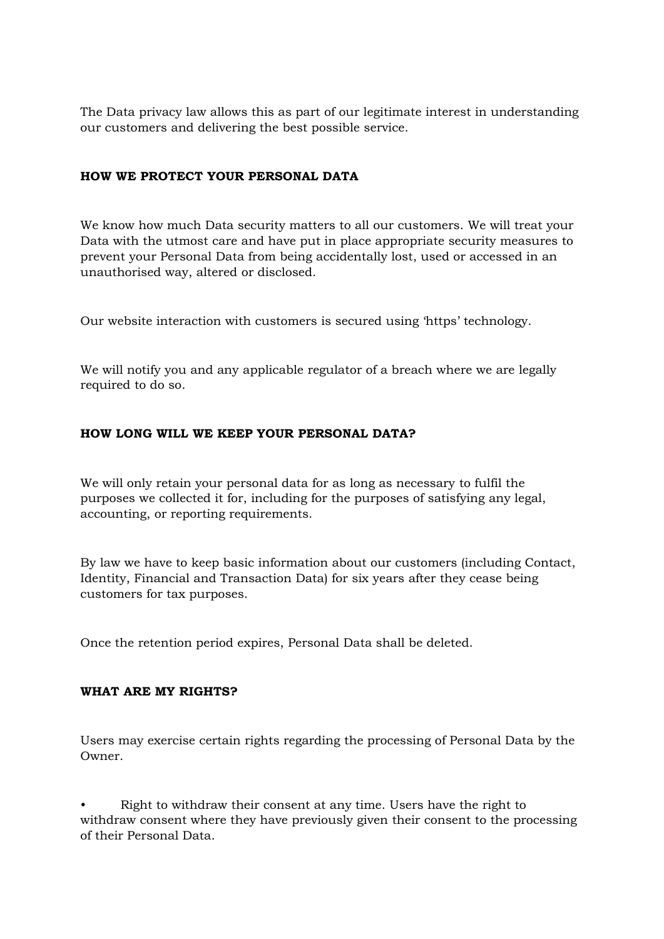The Data privacy law allows this as part of our legitimate interest in understanding our customers and delivering the best possible service.

### **HOW WE PROTECT YOUR PERSONAL DATA**

We know how much Data security matters to all our customers. We will treat your Data with the utmost care and have put in place appropriate security measures to prevent your Personal Data from being accidentally lost, used or accessed in an unauthorised way, altered or disclosed.

Our website interaction with customers is secured using 'https' technology.

We will notify you and any applicable regulator of a breach where we are legally required to do so.

## **HOW LONG WILL WE KEEP YOUR PERSONAL DATA?**

We will only retain your personal data for as long as necessary to fulfil the purposes we collected it for, including for the purposes of satisfying any legal, accounting, or reporting requirements.

By law we have to keep basic information about our customers (including Contact, Identity, Financial and Transaction Data) for six years after they cease being customers for tax purposes.

Once the retention period expires, Personal Data shall be deleted.

### **WHAT ARE MY RIGHTS?**

Users may exercise certain rights regarding the processing of Personal Data by the Owner.

• Right to withdraw their consent at any time. Users have the right to withdraw consent where they have previously given their consent to the processing of their Personal Data.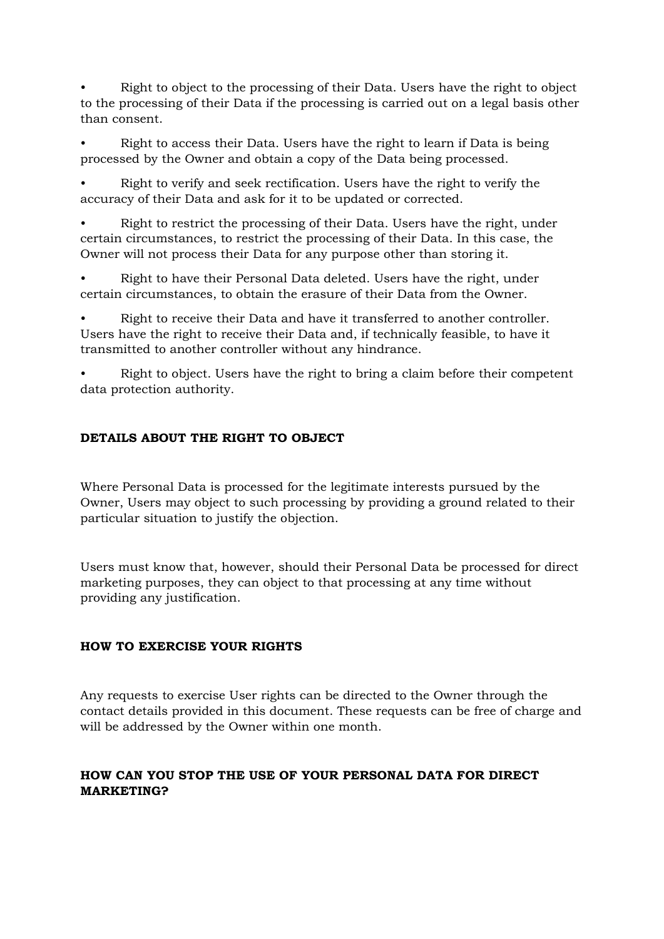• Right to object to the processing of their Data. Users have the right to object to the processing of their Data if the processing is carried out on a legal basis other than consent.

• Right to access their Data. Users have the right to learn if Data is being processed by the Owner and obtain a copy of the Data being processed.

• Right to verify and seek rectification. Users have the right to verify the accuracy of their Data and ask for it to be updated or corrected.

• Right to restrict the processing of their Data. Users have the right, under certain circumstances, to restrict the processing of their Data. In this case, the Owner will not process their Data for any purpose other than storing it.

• Right to have their Personal Data deleted. Users have the right, under certain circumstances, to obtain the erasure of their Data from the Owner.

• Right to receive their Data and have it transferred to another controller. Users have the right to receive their Data and, if technically feasible, to have it transmitted to another controller without any hindrance.

• Right to object. Users have the right to bring a claim before their competent data protection authority.

## **DETAILS ABOUT THE RIGHT TO OBJECT**

Where Personal Data is processed for the legitimate interests pursued by the Owner, Users may object to such processing by providing a ground related to their particular situation to justify the objection.

Users must know that, however, should their Personal Data be processed for direct marketing purposes, they can object to that processing at any time without providing any justification.

### **HOW TO EXERCISE YOUR RIGHTS**

Any requests to exercise User rights can be directed to the Owner through the contact details provided in this document. These requests can be free of charge and will be addressed by the Owner within one month.

## **HOW CAN YOU STOP THE USE OF YOUR PERSONAL DATA FOR DIRECT MARKETING?**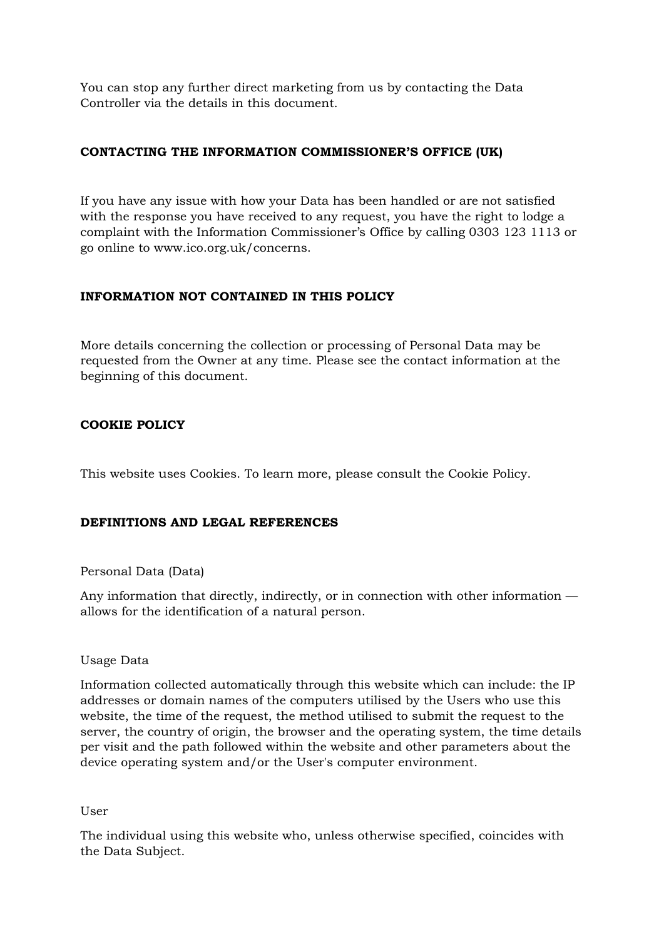You can stop any further direct marketing from us by contacting the Data Controller via the details in this document.

## **CONTACTING THE INFORMATION COMMISSIONER'S OFFICE (UK)**

If you have any issue with how your Data has been handled or are not satisfied with the response you have received to any request, you have the right to lodge a complaint with the Information Commissioner's Office by calling 0303 123 1113 or go online to www.ico.org.uk/concerns.

## **INFORMATION NOT CONTAINED IN THIS POLICY**

More details concerning the collection or processing of Personal Data may be requested from the Owner at any time. Please see the contact information at the beginning of this document.

## **COOKIE POLICY**

This website uses Cookies. To learn more, please consult the Cookie Policy.

### **DEFINITIONS AND LEGAL REFERENCES**

### Personal Data (Data)

Any information that directly, indirectly, or in connection with other information allows for the identification of a natural person.

#### Usage Data

Information collected automatically through this website which can include: the IP addresses or domain names of the computers utilised by the Users who use this website, the time of the request, the method utilised to submit the request to the server, the country of origin, the browser and the operating system, the time details per visit and the path followed within the website and other parameters about the device operating system and/or the User's computer environment.

#### User

The individual using this website who, unless otherwise specified, coincides with the Data Subject.